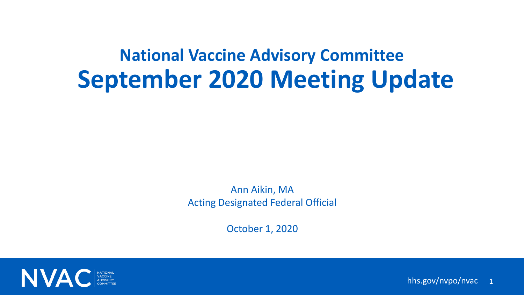# **September 2020 Meeting Update National Vaccine Advisory Committee**

### Ann Aikin, MA Acting Designated Federal Official

October 1, 2020





hhs.gov/nvpo/nvac **1**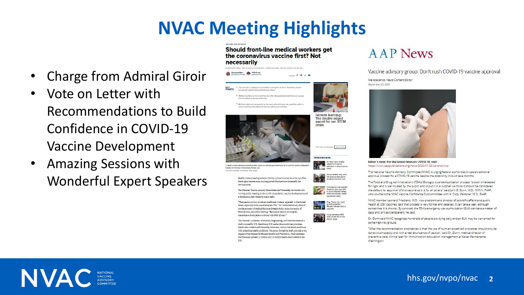# **NVAC Meeting Highlights**

### hhs.gov/nvpo/nvac **2**

- Charge from Admiral Giroir
- Vote on Letter with Recommendations to Build Confidence in COVID-19 Vaccine Development
- Amazing Sessions with Wonderful Expert Speakers

Should front-line medical workers get the coronavirus vaccine first? Not necessarily

SHARE F V In @

PUBLISHED WED, SEP 23 2020-5:10 PM EDT | UPDATED WED, SEP 23 2020-6:05 PM EDT





prouns will need to be pripricipati over others.

Medical workers on the front-lines are often discussed by bioethicists as a group hat should be at the top of the list. " But that might not necessarily be the most ethical thing to do, penelists said at a virtual meeting of the National Vaccine Advisory Comm



health worker wearing a protective mask works in a lab during clinical trials for a Covid-19 vaccine at Resear Centers of America in Hollywood, Florida, U.S. Eng.Marie Uncatend / Bloomberg / Getty Images

> Health workers treating patients with the coronavirus may be at the top of the line to get a vaccine once one is annroyed. But that's not necessarily the obvious move.

The National Vaccine Advisory Committee met Wednesday for the first of a two-day public meeting on the Covid-19 pandemic, vaccine developments and a distribution nlan whenever one is ready

"The question is, how at risk are healthcare workers, especially in the United States, especially in the era of adequate PPE," Dr. Ezekiel Emanuel, chair of the Department of Medical Ethics and Health Policy at the University of Pennsylvania, said at the meeting. "Because at least in our hospital, transmission from patient to doctor with PPE [is] zero."

The National Academies of Sciences, Engineering, and Medicine released a draft proposal for U.S. distribution U.S. earlier this month that prioritizes health-care workers and vulnerable Americans, such as the elderly and those with underlying health conditions. The group formed the draft proposal at the request of the Centers for Disease Control and Prevention, which estimates that there are between 17 million and 20 million health-care workers in the U.S.







**TRENDING NOW** 









Coop sensation BTS' label prices IPO at top<br>end of range some high-risk groups.

Washington.





















### Vaccine advisory group: Don't rush COVID-19 vaccine approval

Melissa lenco, News Content Editor

September 23, 2020



Editor's note: For the latest news on COVID-19, visit https://www.aappublications.org/news/2020/01/28/coronavirus.

The National Vaccine Advisory Committee (NVAC) is urging federal authorities to use a traditional approval process for a COVID-19 vaccine despite the possibility it could take months.

The Food and Drug Administration's (FDA's) Biologics License Application process "is both time-tested for rigor and is well trusted by the public and to put it in a nutshell we think it should be considered the default for approval of this vaccine as it is for all others," said John B. Dunn, M.D., M.P.H., FAAP, who co-chairs the NVAC Vaccine Confidence Subcommittee with H. Cody Meissner, M.D., FAAP.

NVAC member Leonard Friedland, M.D., vice president and director of scientific affairs and public health at GSK Vaccines, said that process is very formal and detailed. It can take a year, although sometimes it is shorter. By contrast, the FDA's emergency use authorization (EUA) can take a matter of days and isn't as transparent, he said.

Dr. Dunn said NVAC recognizes hundreds of people are dying daily and an EUA may be warranted for

"What the recommendation emphasizes is that the use of such an expedited processes should only be done circumspectly and with a real abundance of caution," said Dr. Dunn, medical director of preventive care, clinical lead for immunization population management at Kaiser Permanente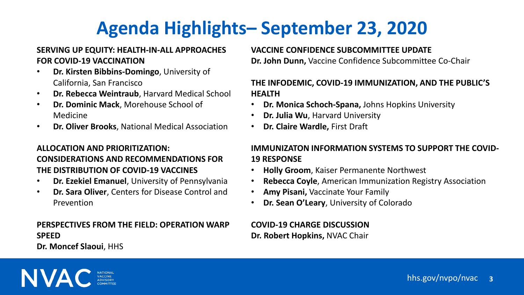# **Agenda Highlights– September 23, 2020**

hhs.gov/nvpo/nvac **3**

### **SERVING UP EQUITY: HEALTH-IN-ALL APPROACHES FOR COVID-19 VACCINATION**

- **Dr. Kirsten Bibbins-Domingo**, University of California, San Francisco
- **Dr. Rebecca Weintraub**, Harvard Medical School
- **Dr. Dominic Mack**, Morehouse School of Medicine
- **Dr. Oliver Brooks**, National Medical Association

### **ALLOCATION AND PRIORITIZATION: CONSIDERATIONS AND RECOMMENDATIONS FOR THE DISTRIBUTION OF COVID-19 VACCINES**

- **Dr. Ezekiel Emanuel**, University of Pennsylvania
- **Dr. Sara Oliver**, Centers for Disease Control and Prevention

### **PERSPECTIVES FROM THE FIELD: OPERATION WARP SPEED**

**Dr. Moncef Slaoui**, HHS

### **VACCINE CONFIDENCE SUBCOMMITTEE UPDATE Dr. John Dunn,** Vaccine Confidence Subcommittee Co-Chair

### **THE INFODEMIC, COVID-19 IMMUNIZATION, AND THE PUBLIC'S HEALTH**

- **Dr. Monica Schoch-Spana,** Johns Hopkins University
- **Dr. Julia Wu**, Harvard University
- **Dr. Claire Wardle,** First Draft

### **IMMUNIZATON INFORMATION SYSTEMS TO SUPPORT THE COVID-19 RESPONSE**

- **Holly Groom**, Kaiser Permanente Northwest
- **Rebecca Coyle**, American Immunization Registry Association
- **Amy Pisani,** Vaccinate Your Family
- **Dr. Sean O'Leary**, University of Colorado

### **COVID-19 CHARGE DISCUSSION Dr. Robert Hopkins,** NVAC Chair

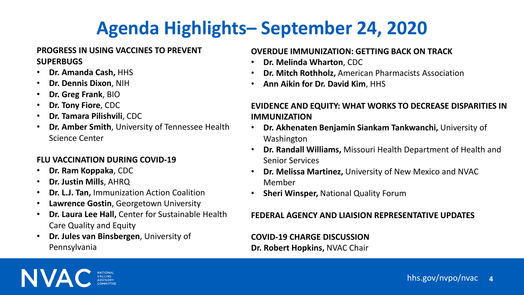# **Agenda Highlights– September 24, 2020**

hhs.gov/nvpo/nvac **4**

### **PROGRESS IN USING VACCINES TO PREVENT SUPERBUGS**

- **Dr. Amanda Cash,** HHS
- **Dr. Dennis Dixon**, NIH
- **Dr. Greg Frank**, BIO
- **Dr. Tony Fiore**, CDC
- **Dr. Tamara Pilishvili**, CDC
- **Dr. Amber Smith**, University of Tennessee Health Science Center

### **FLU VACCINATION DURING COVID-19**

- **Dr. Ram Koppaka**, CDC
- **Dr. Justin Mills**, AHRQ
- **Dr. L.J. Tan,** Immunization Action Coalition
- **Lawrence Gostin**, Georgetown University
- **Dr. Laura Lee Hall,** Center for Sustainable Health Care Quality and Equity
- **Dr. Jules van Binsbergen**, University of Pennsylvania

### **OVERDUE IMMUNIZATION: GETTING BACK ON TRACK**

- **Dr. Melinda Wharton**, CDC
- **Dr. Mitch Rothholz,** American Pharmacists Association
- **Ann Aikin for Dr. David Kim**, HHS

### **EVIDENCE AND EQUITY: WHAT WORKS TO DECREASE DISPARITIES IN IMMUNIZATION**

- **Dr. Akhenaten Benjamin Siankam Tankwanchi,** University of Washington
- **Dr. Randall Williams,** Missouri Health Department of Health and Senior Services
- **Dr. Melissa Martinez,** University of New Mexico and NVAC Member
- **Sheri Winsper,** National Quality Forum

### **FEDERAL AGENCY AND LIAISION REPRESENTATIVE UPDATES**

**COVID-19 CHARGE DISCUSSION Dr. Robert Hopkins,** NVAC Chair

NVA

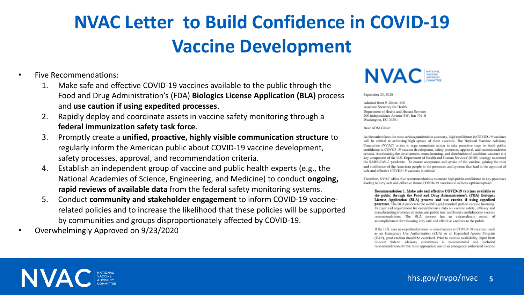# **NVAC Letter to Build Confidence in COVID-19 Vaccine Development**

### hhs.gov/nvpo/nvac **5**

- Five Recommendations:
	- 1. Make safe and effective COVID-19 vaccines available to the public through the Food and Drug Administration's (FDA) **Biologics License Application (BLA)** process and **use caution if using expedited processes**.
	- 2. Rapidly deploy and coordinate assets in vaccine safety monitoring through a **federal immunization safety task force**.
	- 3. Promptly create a **unified, proactive, highly visible communication structure** to regularly inform the American public about COVID-19 vaccine development, safety processes, approval, and recommendation criteria.
	- 4. Establish an independent group of vaccine and public health experts (e.g., the National Academies of Science, Engineering, and Medicine) to conduct **ongoing, rapid reviews of available data** from the federal safety monitoring systems.
	- 5. Conduct **community and stakeholder engagement** to inform COVID-19 vaccinerelated policies and to increase the likelihood that these policies will be supported by communities and groups disproportionately affected by COVID-19.
- Overwhelmingly Approved on 9/23/2020

## **NVAC**

September 23, 2020

Admiral Brett P. Giroir, MD Assistant Secretary for Health Department of Health and Human Services 200 Independence Avenue SW, Rm 701-H Washington, DC 20201

Dear ADM Giroin

As the nation faces the most serious pandemic in a century, high confidence in COVID-19 vaccines will be critical to achieving high uptake of these vaccines. The National Vaccine Advisory Committee (NVAC) writes to urge immediate action to take proactive steps to build public confidence in COVID-19 vaccine development, safety processes, approval, and recommendation criteria. Accelerating the development, manufacturing, and distribution of candidate vaccines is a key component of the U.S. Department of Health and Human Services' (HHS) strategy to control the SARS-CoV-2 pandemic. To ensure acceptance and uptake of the vaccine, gaining the trust and confidence of the American people in the processes and systems that lead to the approval of safe and effective COVID-19 vaccines is critical.

Therefore, NVAC offers five recommendations to ensure high public confidence in key processes leading to very safe and effective future COVID-19 vaccines to achieve optimal uptake:

Recommendation 1. Make 1afe and effective COVID-19 vaccines available to the public through the Food and Drug Administration's (FDA) Biologics License Application (BLA) process and use caution if using expedited processes. The BLA process is the world's gold standard path to vaccine licensing. Its rigor and requirement for comprehensive data on vaccine safety, efficacy and manufacturing promotes clinician and public trust and fosters confidence in vaccine recommendations. The BLA process has an extraordinary record of accomplishment for releasing very safe and effective vaccines to the public.

If the U.S. uses an expedited process to speed access to COVID-19 vaccines, such as an Emergency Use Authorization (EUA) or an Expanded Access Program (EAP), great caution should be exercised. Prior to vaccine availability, input from relevant federal advisory committees is recommended and included recommendations for the most appropriate use of an emergency authorized vaccine



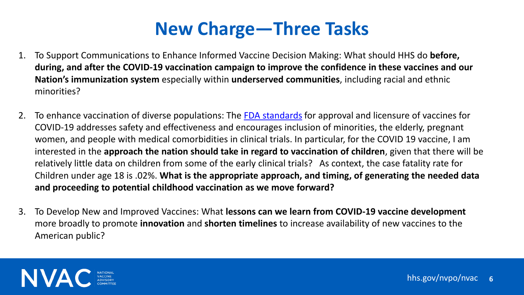# **New Charge—Three Tasks**

hhs.gov/nvpo/nvac **6**

- 1. To Support Communications to Enhance Informed Vaccine Decision Making: What should HHS do **before, during, and after the COVID-19 vaccination campaign to improve the confidence in these vaccines and our Nation's immunization system** especially within **underserved communities**, including racial and ethnic minorities?
- 2. To enhance vaccination of diverse populations: The [FDA standards](https://www.fda.gov/media/139638/download) for approval and licensure of vaccines for COVID-19 addresses safety and effectiveness and encourages inclusion of minorities, the elderly, pregnant women, and people with medical comorbidities in clinical trials. In particular, for the COVID 19 vaccine, I am interested in the **approach the nation should take in regard to vaccination of children**, given that there will be relatively little data on children from some of the early clinical trials? As context, the case fatality rate for Children under age 18 is .02%. **What is the appropriate approach, and timing, of generating the needed data and proceeding to potential childhood vaccination as we move forward?**
- 3. To Develop New and Improved Vaccines: What **lessons can we learn from COVID-19 vaccine development** more broadly to promote **innovation** and **shorten timelines** to increase availability of new vaccines to the American public?

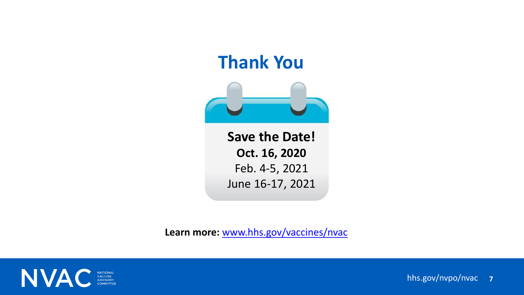## **Thank You**



### hhs.gov/nvpo/nvac **7**

**Save the Date! Oct. 16, 2020** Feb. 4-5, 2021 June 16-17, 2021

**Learn more:** [www.hhs.gov/vaccines/nvac](http://www.hhs.gov/nvpo/nvac)

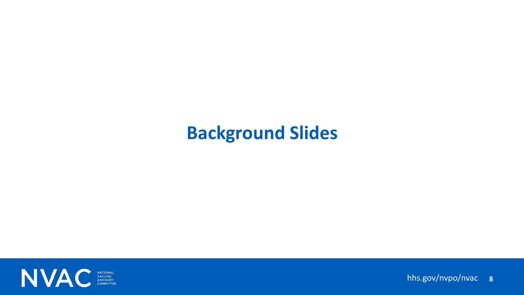## **Background Slides**



### hhs.gov/nvpo/nvac **8**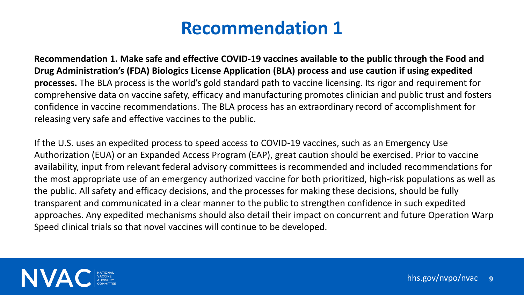hhs.gov/nvpo/nvac **9**

**Recommendation 1. Make safe and effective COVID-19 vaccines available to the public through the Food and Drug Administration's (FDA) Biologics License Application (BLA) process and use caution if using expedited processes.** The BLA process is the world's gold standard path to vaccine licensing. Its rigor and requirement for comprehensive data on vaccine safety, efficacy and manufacturing promotes clinician and public trust and fosters confidence in vaccine recommendations. The BLA process has an extraordinary record of accomplishment for releasing very safe and effective vaccines to the public.

If the U.S. uses an expedited process to speed access to COVID-19 vaccines, such as an Emergency Use Authorization (EUA) or an Expanded Access Program (EAP), great caution should be exercised. Prior to vaccine availability, input from relevant federal advisory committees is recommended and included recommendations for the most appropriate use of an emergency authorized vaccine for both prioritized, high-risk populations as well as the public. All safety and efficacy decisions, and the processes for making these decisions, should be fully transparent and communicated in a clear manner to the public to strengthen confidence in such expedited approaches. Any expedited mechanisms should also detail their impact on concurrent and future Operation Warp Speed clinical trials so that novel vaccines will continue to be developed.

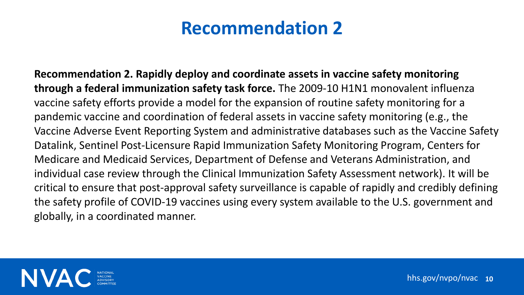hhs.gov/nvpo/nvac **10**

**Recommendation 2. Rapidly deploy and coordinate assets in vaccine safety monitoring through a federal immunization safety task force.** The 2009-10 H1N1 monovalent influenza vaccine safety efforts provide a model for the expansion of routine safety monitoring for a pandemic vaccine and coordination of federal assets in vaccine safety monitoring (e.g., the Vaccine Adverse Event Reporting System and administrative databases such as the Vaccine Safety Datalink, Sentinel Post-Licensure Rapid Immunization Safety Monitoring Program, Centers for Medicare and Medicaid Services, Department of Defense and Veterans Administration, and individual case review through the Clinical Immunization Safety Assessment network). It will be critical to ensure that post-approval safety surveillance is capable of rapidly and credibly defining the safety profile of COVID-19 vaccines using every system available to the U.S. government and globally, in a coordinated manner.

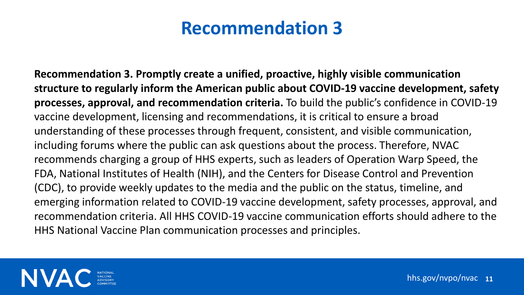hhs.gov/nvpo/nvac **11**

**Recommendation 3. Promptly create a unified, proactive, highly visible communication structure to regularly inform the American public about COVID-19 vaccine development, safety processes, approval, and recommendation criteria.** To build the public's confidence in COVID-19 vaccine development, licensing and recommendations, it is critical to ensure a broad understanding of these processes through frequent, consistent, and visible communication, including forums where the public can ask questions about the process. Therefore, NVAC recommends charging a group of HHS experts, such as leaders of Operation Warp Speed, the FDA, National Institutes of Health (NIH), and the Centers for Disease Control and Prevention (CDC), to provide weekly updates to the media and the public on the status, timeline, and emerging information related to COVID-19 vaccine development, safety processes, approval, and recommendation criteria. All HHS COVID-19 vaccine communication efforts should adhere to the HHS National Vaccine Plan communication processes and principles.

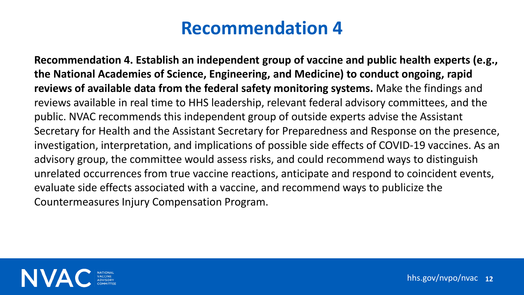hhs.gov/nvpo/nvac **12**

**Recommendation 4. Establish an independent group of vaccine and public health experts (e.g., the National Academies of Science, Engineering, and Medicine) to conduct ongoing, rapid reviews of available data from the federal safety monitoring systems.** Make the findings and reviews available in real time to HHS leadership, relevant federal advisory committees, and the public. NVAC recommends this independent group of outside experts advise the Assistant Secretary for Health and the Assistant Secretary for Preparedness and Response on the presence, investigation, interpretation, and implications of possible side effects of COVID-19 vaccines. As an advisory group, the committee would assess risks, and could recommend ways to distinguish unrelated occurrences from true vaccine reactions, anticipate and respond to coincident events, evaluate side effects associated with a vaccine, and recommend ways to publicize the Countermeasures Injury Compensation Program.



- 
- 
- 
- 
- 
- 
-